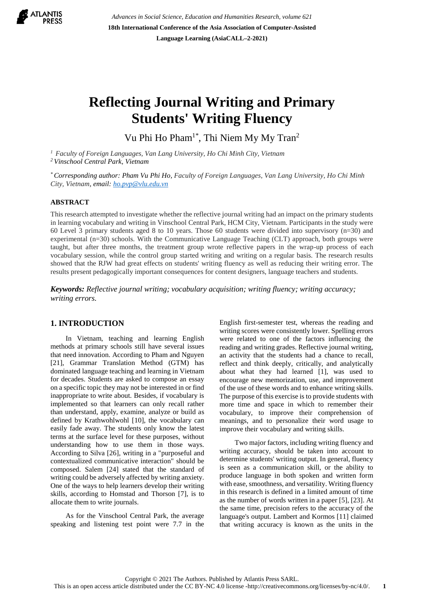

*Advances in Social Science, Education and Humanities Research, volume 621* **18th International Conference of the Asia Association of Computer-Assisted Language Learning (AsiaCALL–2-2021)**

# **Reflecting Journal Writing and Primary Students' Writing Fluency**

Vu Phi Ho Pham1\*, Thi Niem My My Tran<sup>2</sup>

*<sup>1</sup> Faculty of Foreign Languages, Van Lang University, Ho Chi Minh City, Vietnam <sup>2</sup>Vinschool Central Park, Vietnam*

*\* Corresponding author: Pham Vu Phi Ho, Faculty of Foreign Languages, Van Lang University, Ho Chi Minh City, Vietnam, email: [ho.pvp@vlu.edu.vn](mailto:ho.pvp@vlu.edu.vn)*

## **ABSTRACT**

This research attempted to investigate whether the reflective journal writing had an impact on the primary students in learning vocabulary and writing in Vinschool Central Park, HCM City, Vietnam. Participants in the study were 60 Level 3 primary students aged 8 to 10 years. Those 60 students were divided into supervisory (n=30) and experimental (n=30) schools. With the Communicative Language Teaching (CLT) approach, both groups were taught, but after three months, the treatment group wrote reflective papers in the wrap-up process of each vocabulary session, while the control group started writing and writing on a regular basis. The research results showed that the RJW had great effects on students' writing fluency as well as reducing their writing error. The results present pedagogically important consequences for content designers, language teachers and students.

*Keywords: Reflective journal writing; vocabulary acquisition; writing fluency; writing accuracy; writing errors.*

## **1. INTRODUCTION**

In Vietnam, teaching and learning English methods at primary schools still have several issues that need innovation. According to Pham and Nguyen [21], Grammar Translation Method (GTM) has dominated language teaching and learning in Vietnam for decades. Students are asked to compose an essay on a specific topic they may not be interested in or find inappropriate to write about. Besides, if vocabulary is implemented so that learners can only recall rather than understand, apply, examine, analyze or build as defined by Krathwohlwohl [10], the vocabulary can easily fade away. The students only know the latest terms at the surface level for these purposes, without understanding how to use them in those ways. According to Silva [26], writing in a "purposeful and contextualized communicative interaction" should be composed. Salem [24] stated that the standard of writing could be adversely affected by writing anxiety. One of the ways to help learners develop their writing skills, according to Homstad and Thorson [7], is to allocate them to write journals.

As for the Vinschool Central Park, the average speaking and listening test point were 7.7 in the English first-semester test, whereas the reading and writing scores were consistently lower. Spelling errors were related to one of the factors influencing the reading and writing grades. Reflective journal writing, an activity that the students had a chance to recall, reflect and think deeply, critically, and analytically about what they had learned [1], was used to encourage new memorization, use, and improvement of the use of these words and to enhance writing skills. The purpose of this exercise is to provide students with more time and space in which to remember their vocabulary, to improve their comprehension of meanings, and to personalize their word usage to improve their vocabulary and writing skills.

Two major factors, including writing fluency and writing accuracy, should be taken into account to determine students' writing output. In general, fluency is seen as a communication skill, or the ability to produce language in both spoken and written form with ease, smoothness, and versatility. Writing fluency in this research is defined in a limited amount of time as the number of words written in a paper [5], [23]. At the same time, precision refers to the accuracy of the language's output. Lambert and Kormos [11] claimed that writing accuracy is known as the units in the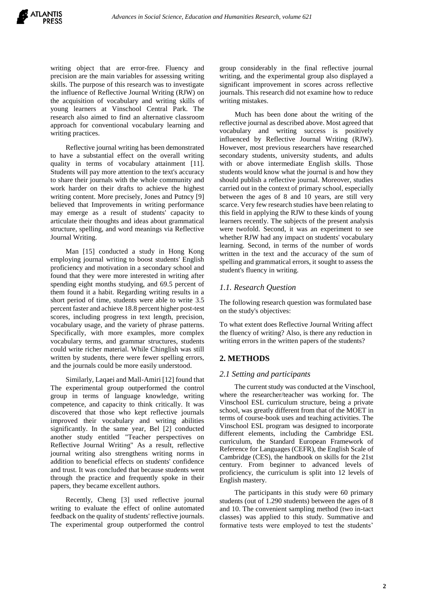writing object that are error-free. Fluency and precision are the main variables for assessing writing skills. The purpose of this research was to investigate the influence of Reflective Journal Writing (RJW) on the acquisition of vocabulary and writing skills of young learners at Vinschool Central Park. The research also aimed to find an alternative classroom approach for conventional vocabulary learning and writing practices.

Reflective journal writing has been demonstrated to have a substantial effect on the overall writing quality in terms of vocabulary attainment [11]. Students will pay more attention to the text's accuracy to share their journals with the whole community and work harder on their drafts to achieve the highest writing content. More precisely, Jones and Putncy [9] believed that Improvements in writing performance may emerge as a result of students' capacity to articulate their thoughts and ideas about grammatical structure, spelling, and word meanings via Reflective Journal Writing.

Man [15] conducted a study in Hong Kong employing journal writing to boost students' English proficiency and motivation in a secondary school and found that they were more interested in writing after spending eight months studying, and 69.5 percent of them found it a habit. Regarding writing results in a short period of time, students were able to write 3.5 percent faster and achieve 18.8 percent higher post-test scores, including progress in text length, precision, vocabulary usage, and the variety of phrase patterns. Specifically, with more examples, more complex vocabulary terms, and grammar structures, students could write richer material. While Chinglish was still written by students, there were fewer spelling errors, and the journals could be more easily understood.

Similarly, Laqaei and Mall-Amiri [12] found that The experimental group outperformed the control group in terms of language knowledge, writing competence, and capacity to think critically. It was discovered that those who kept reflective journals improved their vocabulary and writing abilities significantly. In the same year, Bel [2] conducted another study entitled "Teacher perspectives on Reflective Journal Writing" As a result, reflective journal writing also strengthens writing norms in addition to beneficial effects on students' confidence and trust. It was concluded that because students went through the practice and frequently spoke in their papers, they became excellent authors.

Recently, Cheng [3] used reflective journal writing to evaluate the effect of online automated feedback on the quality of students' reflective journals. The experimental group outperformed the control group considerably in the final reflective journal writing, and the experimental group also displayed a significant improvement in scores across reflective journals. This research did not examine how to reduce writing mistakes.

Much has been done about the writing of the reflective journal as described above. Most agreed that vocabulary and writing success is positively influenced by Reflective Journal Writing (RJW). However, most previous researchers have researched secondary students, university students, and adults with or above intermediate English skills. Those students would know what the journal is and how they should publish a reflective journal. Moreover, studies carried out in the context of primary school, especially between the ages of 8 and 10 years, are still very scarce. Very few research studies have been relating to this field in applying the RJW to these kinds of young learners recently. The subjects of the present analysis were twofold. Second, it was an experiment to see whether RJW had any impact on students' vocabulary learning. Second, in terms of the number of words written in the text and the accuracy of the sum of spelling and grammatical errors, it sought to assess the student's fluency in writing.

# *1.1. Research Question*

The following research question was formulated base on the study's objectives:

To what extent does Reflective Journal Writing affect the fluency of writing? Also, is there any reduction in writing errors in the written papers of the students?

# **2. METHODS**

## *2.1 Setting and participants*

The current study was conducted at the Vinschool, where the researcher/teacher was working for. The Vinschool ESL curriculum structure, being a private school, was greatly different from that of the MOET in terms of course-book uses and teaching activities. The Vinschool ESL program was designed to incorporate different elements, including the Cambridge ESL curriculum, the Standard European Framework of Reference for Languages (CEFR), the English Scale of Cambridge (CES), the handbook on skills for the 21st century. From beginner to advanced levels of proficiency, the curriculum is split into 12 levels of English mastery.

The participants in this study were 60 primary students (out of 1.290 students) between the ages of 8 and 10. The convenient sampling method (two in-tact classes) was applied to this study. Summative and formative tests were employed to test the students'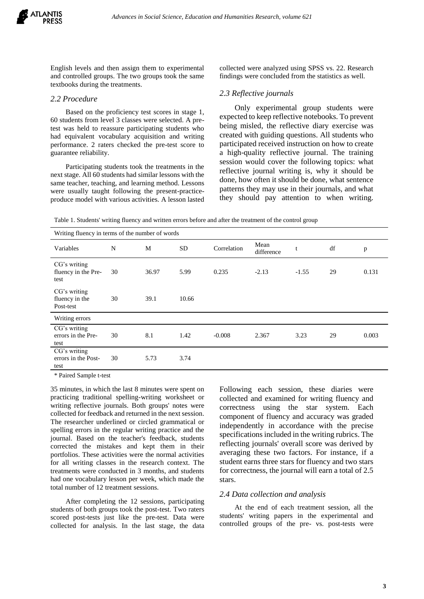

English levels and then assign them to experimental and controlled groups. The two groups took the same textbooks during the treatments.

#### *2.2 Procedure*

Based on the proficiency test scores in stage 1, 60 students from level 3 classes were selected. A pretest was held to reassure participating students who had equivalent vocabulary acquisition and writing performance. 2 raters checked the pre-test score to guarantee reliability.

Participating students took the treatments in the next stage. All 60 students had similar lessons with the same teacher, teaching, and learning method. Lessons were usually taught following the present-practiceproduce model with various activities. A lesson lasted collected were analyzed using SPSS vs. 22. Research findings were concluded from the statistics as well.

#### *2.3 Reflective journals*

Only experimental group students were expected to keep reflective notebooks. To prevent being misled, the reflective diary exercise was created with guiding questions. All students who participated received instruction on how to create a high-quality reflective journal. The training session would cover the following topics: what reflective journal writing is, why it should be done, how often it should be done, what sentence patterns they may use in their journals, and what they should pay attention to when writing.

Table 1. Students' writing fluency and written errors before and after the treatment of the control group

| Writing fluency in terms of the number of words |    |       |           |             |                    |         |    |       |
|-------------------------------------------------|----|-------|-----------|-------------|--------------------|---------|----|-------|
| Variables                                       | N  | M     | <b>SD</b> | Correlation | Mean<br>difference | t       | df | p     |
| CG's writing<br>fluency in the Pre-<br>test     | 30 | 36.97 | 5.99      | 0.235       | $-2.13$            | $-1.55$ | 29 | 0.131 |
| CG's writing<br>fluency in the<br>Post-test     | 30 | 39.1  | 10.66     |             |                    |         |    |       |
| Writing errors                                  |    |       |           |             |                    |         |    |       |
| CG's writing<br>errors in the Pre-<br>test      | 30 | 8.1   | 1.42      | $-0.008$    | 2.367              | 3.23    | 29 | 0.003 |
| CG's writing<br>errors in the Post-<br>test     | 30 | 5.73  | 3.74      |             |                    |         |    |       |

\* Paired Sample t-test

35 minutes, in which the last 8 minutes were spent on practicing traditional spelling-writing worksheet or writing reflective journals. Both groups' notes were collected for feedback and returned in the next session. The researcher underlined or circled grammatical or spelling errors in the regular writing practice and the journal. Based on the teacher's feedback, students corrected the mistakes and kept them in their portfolios. These activities were the normal activities for all writing classes in the research context. The treatments were conducted in 3 months, and students had one vocabulary lesson per week, which made the total number of 12 treatment sessions.

After completing the 12 sessions, participating students of both groups took the post-test. Two raters scored post-tests just like the pre-test. Data were collected for analysis. In the last stage, the data Following each session, these diaries were collected and examined for writing fluency and correctness using the star system. Each component of fluency and accuracy was graded independently in accordance with the precise specifications included in the writing rubrics. The reflecting journals' overall score was derived by averaging these two factors. For instance, if a student earns three stars for fluency and two stars for correctness, the journal will earn a total of 2.5 stars.

#### *2.4 Data collection and analysis*

At the end of each treatment session, all the students' writing papers in the experimental and controlled groups of the pre- vs. post-tests were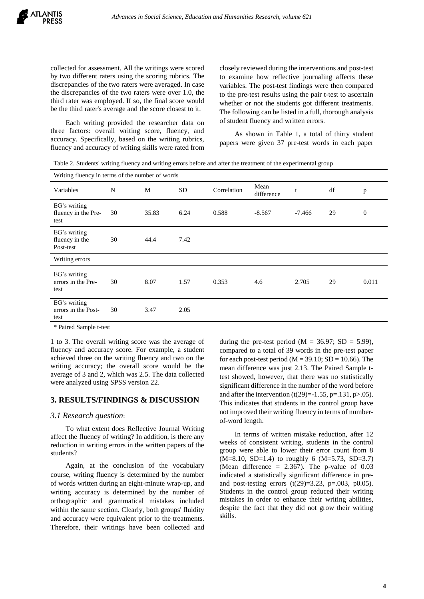collected for assessment. All the writings were scored by two different raters using the scoring rubrics. The discrepancies of the two raters were averaged. In case the discrepancies of the two raters were over 1.0, the third rater was employed. If so, the final score would be the third rater's average and the score closest to it.

Each writing provided the researcher data on three factors: overall writing score, fluency, and accuracy. Specifically, based on the writing rubrics, fluency and accuracy of writing skills were rated from closely reviewed during the interventions and post-test to examine how reflective journaling affects these variables. The post-test findings were then compared to the pre-test results using the pair t-test to ascertain whether or not the students got different treatments. The following can be listed in a full, thorough analysis of student fluency and written errors.

As shown in Table 1, a total of thirty student papers were given 37 pre-test words in each paper

Table 2. Students' writing fluency and writing errors before and after the treatment of the experimental group

| Writing fluency in terms of the number of words |    |       |           |             |                    |          |    |                  |  |
|-------------------------------------------------|----|-------|-----------|-------------|--------------------|----------|----|------------------|--|
| Variables                                       | N  | M     | <b>SD</b> | Correlation | Mean<br>difference | t        | df | $\mathbf{p}$     |  |
| EG's writing<br>fluency in the Pre-<br>test     | 30 | 35.83 | 6.24      | 0.588       | $-8.567$           | $-7.466$ | 29 | $\boldsymbol{0}$ |  |
| EG's writing<br>fluency in the<br>Post-test     | 30 | 44.4  | 7.42      |             |                    |          |    |                  |  |
| Writing errors                                  |    |       |           |             |                    |          |    |                  |  |
| EG's writing<br>errors in the Pre-<br>test      | 30 | 8.07  | 1.57      | 0.353       | 4.6                | 2.705    | 29 | 0.011            |  |
| EG's writing<br>errors in the Post-<br>test     | 30 | 3.47  | 2.05      |             |                    |          |    |                  |  |

\* Paired Sample t-test

1 to 3. The overall writing score was the average of fluency and accuracy score. For example, a student achieved three on the writing fluency and two on the writing accuracy; the overall score would be the average of 3 and 2, which was 2.5. The data collected were analyzed using SPSS version 22.

# **3. RESULTS/FINDINGS & DISCUSSION**

#### *3.1 Research question*:

To what extent does Reflective Journal Writing affect the fluency of writing? In addition, is there any reduction in writing errors in the written papers of the students?

Again, at the conclusion of the vocabulary course, writing fluency is determined by the number of words written during an eight-minute wrap-up, and writing accuracy is determined by the number of orthographic and grammatical mistakes included within the same section. Clearly, both groups' fluidity and accuracy were equivalent prior to the treatments. Therefore, their writings have been collected and during the pre-test period ( $M = 36.97$ ; SD = 5.99), compared to a total of 39 words in the pre-test paper for each post-test period ( $M = 39.10$ ; SD = 10.66). The mean difference was just 2.13. The Paired Sample ttest showed, however, that there was no statistically significant difference in the number of the word before and after the intervention  $(t(29)=1.55, p=.131, p>.05)$ . This indicates that students in the control group have not improved their writing fluency in terms of numberof-word length.

In terms of written mistake reduction, after 12 weeks of consistent writing, students in the control group were able to lower their error count from 8  $(M=8.10, SD=1.4)$  to roughly 6  $(M=5.73, SD=3.7)$ (Mean difference  $= 2.367$ ). The p-value of 0.03 indicated a statistically significant difference in preand post-testing errors  $(t(29)=3.23, p=.003, p0.05)$ . Students in the control group reduced their writing mistakes in order to enhance their writing abilities, despite the fact that they did not grow their writing skills.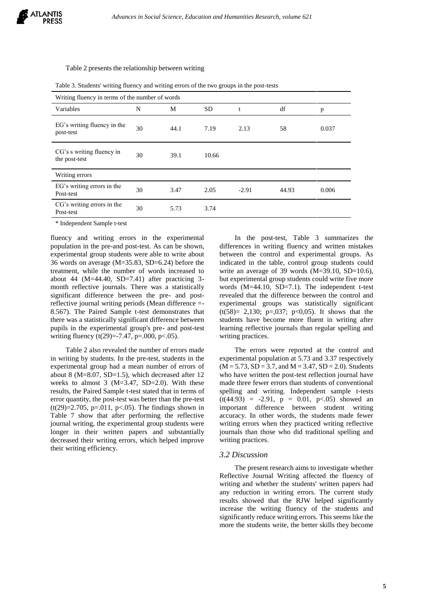#### Table 2 presents the relationship between writing

| Writing fluency in terms of the number of words |    |      |           |         |       |       |
|-------------------------------------------------|----|------|-----------|---------|-------|-------|
| Variables                                       | N  | М    | <b>SD</b> |         | df    | p     |
| EG's writing fluency in the<br>post-test        | 30 | 44.1 | 7.19      | 2.13    | 58    | 0.037 |
| CG's s writing fluency in<br>the post-test      | 30 | 39.1 | 10.66     |         |       |       |
| Writing errors                                  |    |      |           |         |       |       |
| EG's writing errors in the<br>Post-test         | 30 | 3.47 | 2.05      | $-2.91$ | 44.93 | 0.006 |
| CG's writing errors in the<br>Post-test         | 30 | 5.73 | 3.74      |         |       |       |

Table 3. Students' writing fluency and writing errors of the two groups in the post-tests

\* Independent Sample t-test

fluency and writing errors in the experimental population in the pre-and post-test. As can be shown, experimental group students were able to write about 36 words on average (M=35.83, SD=6.24) before the treatment, while the number of words increased to about 44 ( $M=44.40$ ,  $SD=7.41$ ) after practicing 3month reflective journals. There was a statistically significant difference between the pre- and postreflective journal writing periods (Mean difference =- 8.567). The Paired Sample t-test demonstrates that there was a statistically significant difference between pupils in the experimental group's pre- and post-test writing fluency  $(t(29)=7.47, p=.000, p<.05)$ .

Table 2 also revealed the number of errors made in writing by students. In the pre-test, students in the experimental group had a mean number of errors of about 8 (M=8.07, SD=1.5), which decreased after 12 weeks to almost 3 (M=3.47, SD=2.0). With these results, the Paired Sample t-test stated that in terms of error quantity, the post-test was better than the pre-test  $(t(29)=2.705, p=.011, p<.05)$ . The findings shown in Table 7 show that after performing the reflective journal writing, the experimental group students were longer in their written papers and substantially decreased their writing errors, which helped improve their writing efficiency.

In the post-test, Table 3 summarizes the differences in writing fluency and written mistakes between the control and experimental groups. As indicated in the table, control group students could write an average of 39 words (M=39.10, SD=10.6), but experimental group students could write five more words (M=44.10, SD=7.1). The independent t-test revealed that the difference between the control and experimental groups was statistically significant  $(t(58)= 2,130; p=.037; p<0.05)$ . It shows that the students have become more fluent in writing after learning reflective journals than regular spelling and writing practices.

The errors were reported at the control and experimental population at 5.73 and 3.37 respectively  $(M = 5.73, SD = 3.7, and M = 3.47, SD = 2.0)$ . Students who have written the post-test reflection journal have made three fewer errors than students of conventional spelling and writing. Independent sample t-tests  $(t(44.93) = -2.91, p = 0.01, p < 0.05)$  showed an important difference between student writing accuracy. In other words, the students made fewer writing errors when they practiced writing reflective journals than those who did traditional spelling and writing practices.

#### *3.2 Discussion*

The present research aims to investigate whether Reflective Journal Writing affected the fluency of writing and whether the students' written papers had any reduction in writing errors. The current study results showed that the RJW helped significantly increase the writing fluency of the students and significantly reduce writing errors. This seems like the more the students write, the better skills they become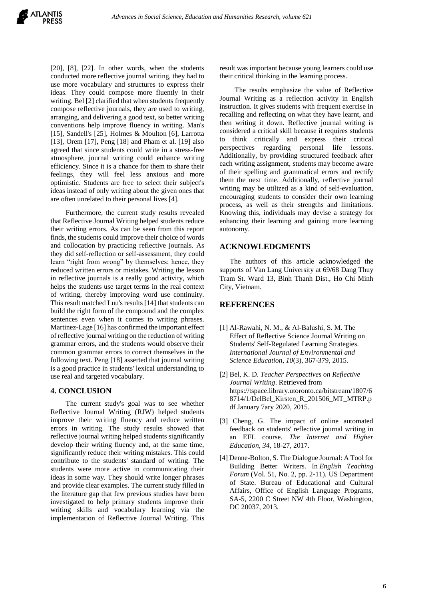$[20]$ ,  $[8]$ ,  $[22]$ . In other words, when the students conducted more reflective journal writing, they had to use more vocabulary and structures to express their ideas. They could compose more fluently in their writing. Bel [2] clarified that when students frequently compose reflective journals, they are used to writing, arranging, and delivering a good text, so better writing conventions help improve fluency in writing. Man's [15], Sandell's [25], Holmes & Moulton [6], Larrotta [13], Orem [17], Peng [18] and Pham et al. [19] also agreed that since students could write in a stress-free atmosphere, journal writing could enhance writing efficiency. Since it is a chance for them to share their feelings, they will feel less anxious and more optimistic. Students are free to select their subject's ideas instead of only writing about the given ones that are often unrelated to their personal lives [4].

Furthermore, the current study results revealed that Reflective Journal Writing helped students reduce their writing errors. As can be seen from this report finds, the students could improve their choice of words and collocation by practicing reflective journals. As they did self-reflection or self-assessment, they could learn "right from wrong" by themselves; hence, they reduced written errors or mistakes. Writing the lesson in reflective journals is a really good activity, which helps the students use target terms in the real context of writing, thereby improving word use continuity. This result matched Luu's results [14] that students can build the right form of the compound and the complex sentences even when it comes to writing phrases. Martinez-Lage [16] has confirmed the important effect of reflective journal writing on the reduction of writing grammar errors, and the students would observe their common grammar errors to correct themselves in the following text. Peng [18] asserted that journal writing is a good practice in students' lexical understanding to use real and targeted vocabulary.

## **4. CONCLUSION**

The current study's goal was to see whether Reflective Journal Writing (RJW) helped students improve their writing fluency and reduce written errors in writing. The study results showed that reflective journal writing helped students significantly develop their writing fluency and, at the same time, significantly reduce their writing mistakes. This could contribute to the students' standard of writing. The students were more active in communicating their ideas in some way. They should write longer phrases and provide clear examples. The current study filled in the literature gap that few previous studies have been investigated to help primary students improve their writing skills and vocabulary learning via the implementation of Reflective Journal Writing. This

result was important because young learners could use their critical thinking in the learning process.

The results emphasize the value of Reflective Journal Writing as a reflection activity in English instruction. It gives students with frequent exercise in recalling and reflecting on what they have learnt, and then writing it down. Reflective journal writing is considered a critical skill because it requires students to think critically and express their critical perspectives regarding personal life lessons. Additionally, by providing structured feedback after each writing assignment, students may become aware of their spelling and grammatical errors and rectify them the next time. Additionally, reflective journal writing may be utilized as a kind of self-evaluation, encouraging students to consider their own learning process, as well as their strengths and limitations. Knowing this, individuals may devise a strategy for enhancing their learning and gaining more learning autonomy.

## **ACKNOWLEDGMENTS**

The authors of this article acknowledged the supports of Van Lang University at 69/68 Dang Thuy Tram St. Ward 13, Binh Thanh Dist., Ho Chi Minh City, Vietnam.

## **REFERENCES**

- [1] Al-Rawahi, N. M., & Al-Balushi, S. M. The Effect of Reflective Science Journal Writing on Students' Self-Regulated Learning Strategies. *International Journal of Environmental and Science Education*, *10*(3), 367-379, 2015.
- [2] Bel, K. D. *Teacher Perspectives on Reflective Journal Writing*. Retrieved from https://tspace.library.utoronto.ca/bitstream/1807/6 8714/1/DelBel\_Kirsten\_R\_201506\_MT\_MTRP.p df January 7ary 2020, 2015.
- [3] Cheng, G. The impact of online automated feedback on students' reflective journal writing in an EFL course. *The Internet and Higher Education*, *34*, 18-27, 2017.
- [4] Denne-Bolton, S. The Dialogue Journal: A Tool for Building Better Writers. In *English Teaching Forum* (Vol. 51, No. 2, pp. 2-11). US Department of State. Bureau of Educational and Cultural Affairs, Office of English Language Programs, SA-5, 2200 C Street NW 4th Floor, Washington, DC 20037, 2013.